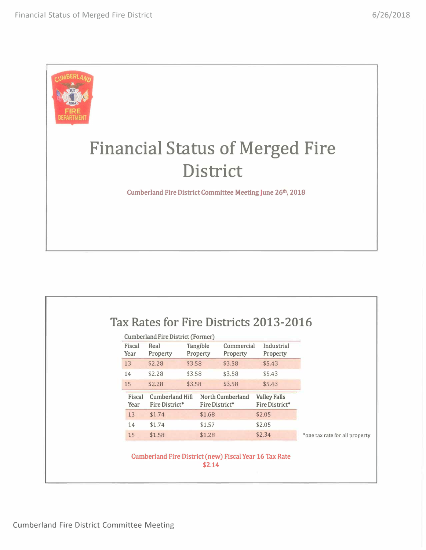

|                | Cumberland Fire District (Former) |        |                      |                        |                                       |                                |
|----------------|-----------------------------------|--------|----------------------|------------------------|---------------------------------------|--------------------------------|
| Fiscal<br>Year | Real<br>Property                  |        | Tangible<br>Property | Commercial<br>Property | Industrial<br>Property                |                                |
| 13             | \$2.28                            | \$3.58 |                      | \$3.58                 | \$5.43                                |                                |
| 14             | \$2.28                            | \$3.58 |                      | \$3.58                 | \$5.43                                |                                |
| 15             | \$2.28                            | \$3.58 |                      | \$3.58                 | \$5.43                                |                                |
| Fiscal<br>Year | Cumberland Hill<br>Fire District* |        | Fire District*       | North Cumberland       | <b>Valley Falls</b><br>Fire District* |                                |
| 13             | \$1.74                            |        | \$1.68               |                        | \$2.05                                |                                |
| 14             | \$1.74                            |        | \$1.57               |                        | \$2.05                                |                                |
| 15             | \$1.58                            |        | \$1.28               |                        | \$2.34                                | *one tax rate for all property |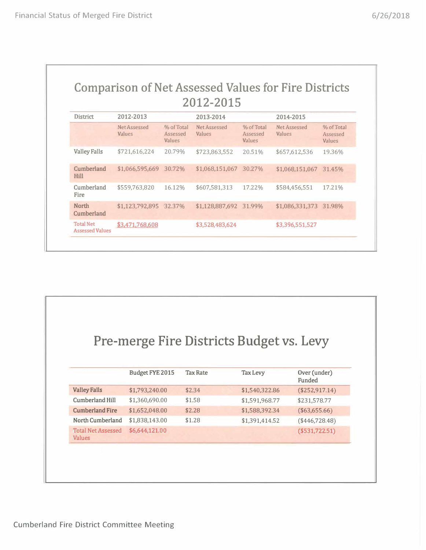|  | 2012-2015 |  |                                                             |
|--|-----------|--|-------------------------------------------------------------|
|  |           |  | <b>Comparison of Net Assessed Values for Fire Districts</b> |

| <b>District</b>                            | 2012-2013              |                                  | 2013-2014              |                                  | 2014-2015              |                                  |
|--------------------------------------------|------------------------|----------------------------------|------------------------|----------------------------------|------------------------|----------------------------------|
|                                            | Net Assessed<br>Values | % of Total<br>Assessed<br>Values | Net Assessed<br>Values | % of Total<br>Assessed<br>Values | Net Assessed<br>Values | % of Total<br>Assessed<br>Values |
| <b>Valley Falls</b>                        | \$721,616,224          | 20.79%                           | \$723,863,552          | 20.51%                           | \$657,612,536          | 19.36%                           |
| <b>Cumberland</b><br>Hill                  | \$1,066,595,669        | 30.72%                           | \$1,068,151,067        | 30.27%                           | \$1,068,151,067        | 31.45%                           |
| Cumberland<br>Fire                         | \$559,763,820          | 16.12%                           | \$607,581,313          | 17.22%                           | \$584,456,551          | 17.21%                           |
| <b>North</b><br>Cumberland                 | \$1,123,792,895 32.37% |                                  | \$1,128,887,692 31.99% |                                  | \$1,086,331,373 31.98% |                                  |
| <b>Total Net</b><br><b>Assessed Values</b> | \$3,471,768,608        |                                  | \$3,528,483,624        |                                  | \$3,396,551,527        |                                  |

|                                            |                        |                 | Pre-merge Fire Districts Budget vs. Levy |                        |
|--------------------------------------------|------------------------|-----------------|------------------------------------------|------------------------|
|                                            |                        |                 |                                          |                        |
|                                            | <b>Budget FYE 2015</b> | <b>Tax Rate</b> | <b>Tax Levy</b>                          | Over (under)<br>Funded |
| <b>Valley Falls</b>                        | \$1,793,240.00         | \$2.34          | \$1,540,322.86                           | (\$252,917.14)         |
| <b>Cumberland Hill</b>                     | \$1,360,690.00         | \$1.58          | \$1,591,968.77                           | \$231,578.77           |
| <b>Cumberland Fire</b>                     | \$1,652,048.00         | \$2.28          | \$1,588,392.34                           | (\$63,655.66)          |
| North Cumberland                           | \$1,838,143.00         | \$1.28          | \$1,391,414.52                           | $(*446,728.48)$        |
| <b>Total Net Assessed</b><br><b>Values</b> | \$6,644,121.00         |                 |                                          | $($ \$531,722.51)      |
|                                            |                        |                 |                                          |                        |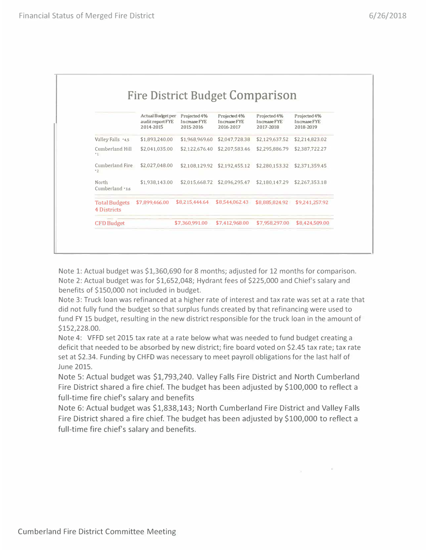|                                            | <b>Actual Budget per</b><br>audit report FYE<br>2014-2015 | Projected 4%<br><b>Increase FYE</b><br>2015-2016 | Projected 4%<br>In crease FYE<br>2016-2017 | Projected 4%<br><b>Increase FYE</b><br>2017-2018 | Projected 4%<br>Increase FYE<br>2018-2019 |
|--------------------------------------------|-----------------------------------------------------------|--------------------------------------------------|--------------------------------------------|--------------------------------------------------|-------------------------------------------|
| Valley Falls '4,5                          | \$1,893,240.00                                            | \$1,968,969.60                                   | \$2,047,728,38                             | \$2.129.637.52                                   | \$2,214,823.02                            |
| Cumberland Hill<br>$^{\circ}$ 1            | \$2,041,035,00                                            | \$2,122,676.40                                   | \$2,207,583.46                             | \$2,295,886.79                                   | \$2,387,722.27                            |
| Cumberland Fire<br>$^{\circ}2$             | \$2,027,048.00                                            | \$2,108,129,92                                   | \$2,192,455.12                             | \$2,280,153,32                                   | \$2,371,359.45                            |
| North<br>Cumberland '3.6                   | \$1,938,143.00                                            |                                                  | \$2,015,668.72 \$2,096,295,47              | \$2,180,147.29                                   | \$2,267,353.18                            |
| <b>Total Budgets</b><br><b>4 Districts</b> | \$7,899,466.00                                            | \$8,215,444.64                                   | \$8,544,062.43                             | \$8,885,824.92                                   | \$9.241.257.92                            |
| <b>CFD Budget</b>                          |                                                           | \$7,360,991.00                                   | \$7,412,968.00                             | \$7,958,297.00                                   | \$8,424,509.00                            |

Note 1: Actual budget was \$1,360,690 for 8 months; adjusted for 12 months for comparison. Note 2: Actual budget was for \$1,652,048; Hydrant fees of \$225,000 and Chief's salary and benefits of \$150,000 not included in budget.

Note 3: Truck loan was refinanced at a higher rate of interest and tax rate was set at a rate that did not fully fund the budget so that surplus funds created by that refinancing were used to fund FY 15 budget, resulting in the new district responsible for the truck loan in the amount of \$152,228.00.

Note 4: VFFD set 2015 tax rate at a rate below what was needed to fund budget creating a deficit that needed to be absorbed by new district; fire board voted on \$2.45 tax rate; tax rate set at \$2.34. Funding by CHFD was necessary to meet payroll obligations for the last half of June 2015.

Note 5: Actual budget was \$1,793,240. Valley Falls Fire District and North Cumberland Fire District shared a fire chief. The budget has been adjusted by \$100,000 to reflect a full-time fire chief's salary and benefits

Note 6: Actual budget was \$1,838,143; North Cumberland Fire District and Valley Falls Fire District shared a fire chief. The budget has been adjusted by \$100,000 to reflect a full-time fire chief's salary and benefits.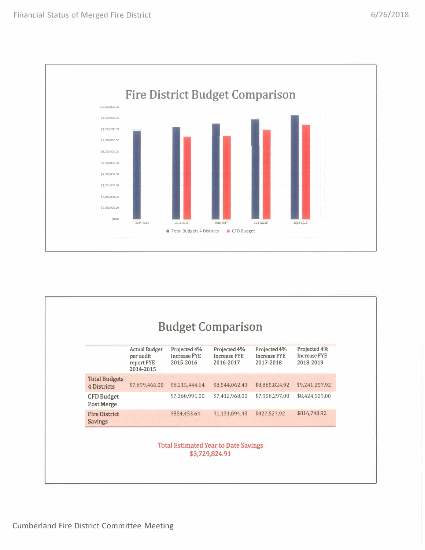

|                                        | <b>Actual Budget</b><br>Projected 4%<br>Projected 4%<br>Projected 4%<br>Projected 4% |                                  |                                  |                                  |                                  |  |
|----------------------------------------|--------------------------------------------------------------------------------------|----------------------------------|----------------------------------|----------------------------------|----------------------------------|--|
|                                        | per audit<br>report FYE<br>2014-2015                                                 | <b>Increase FYE</b><br>2015-2016 | <b>Increase FYE</b><br>2016-2017 | <b>Increase FYE</b><br>2017-2018 | <b>Increase FYE</b><br>2018-2019 |  |
| <b>Total Budgets</b><br>4 Districts    | \$7,899,466.00                                                                       | \$8,215,444.64                   | \$8,544,062.43                   | \$8,885,824.92                   | \$9,241,257.92                   |  |
| <b>CFD Budget</b><br><b>Post Merge</b> |                                                                                      | \$7,360,991.00                   | \$7,412,968.00                   | \$7,958,297.00                   | \$8,424,509.00                   |  |
| <b>Fire District</b><br><b>Savings</b> |                                                                                      | \$854,453.64                     | \$1,131,094.43                   | \$927,527.92                     | \$816,748.92                     |  |